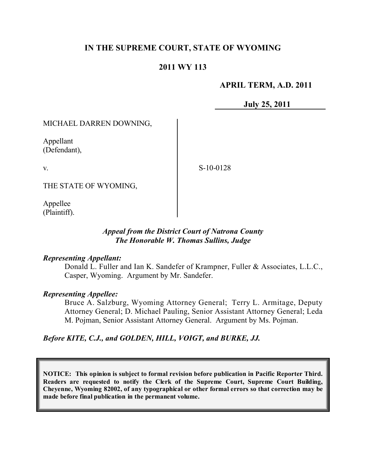# **IN THE SUPREME COURT, STATE OF WYOMING**

### **2011 WY 113**

### **APRIL TERM, A.D. 2011**

**July 25, 2011**

#### MICHAEL DARREN DOWNING,

Appellant (Defendant),

v.

S-10-0128

THE STATE OF WYOMING,

Appellee (Plaintiff).

### *Appeal from the District Court of Natrona County The Honorable W. Thomas Sullins, Judge*

#### *Representing Appellant:*

Donald L. Fuller and Ian K. Sandefer of Krampner, Fuller & Associates, L.L.C., Casper, Wyoming. Argument by Mr. Sandefer.

### *Representing Appellee:*

Bruce A. Salzburg, Wyoming Attorney General; Terry L. Armitage, Deputy Attorney General; D. Michael Pauling, Senior Assistant Attorney General; Leda M. Pojman, Senior Assistant Attorney General. Argument by Ms. Pojman.

*Before KITE, C.J., and GOLDEN, HILL, VOIGT, and BURKE, JJ.*

**NOTICE: This opinion is subject to formal revision before publication in Pacific Reporter Third. Readers are requested to notify the Clerk of the Supreme Court, Supreme Court Building, Cheyenne, Wyoming 82002, of any typographical or other formal errors so that correction may be made before final publication in the permanent volume.**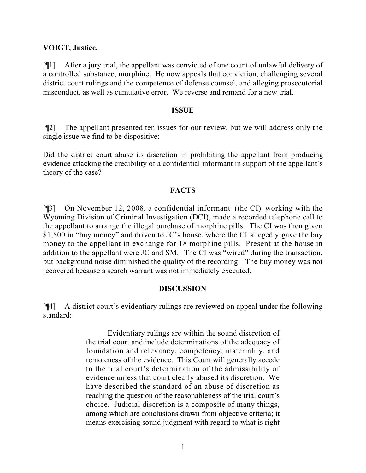### **VOIGT, Justice.**

[¶1] After a jury trial, the appellant was convicted of one count of unlawful delivery of a controlled substance, morphine. He now appeals that conviction, challenging several district court rulings and the competence of defense counsel, and alleging prosecutorial misconduct, as well as cumulative error. We reverse and remand for a new trial.

### **ISSUE**

[¶2] The appellant presented ten issues for our review, but we will address only the single issue we find to be dispositive:

Did the district court abuse its discretion in prohibiting the appellant from producing evidence attacking the credibility of a confidential informant in support of the appellant's theory of the case?

### **FACTS**

[¶3] On November 12, 2008, a confidential informant (the CI) working with the Wyoming Division of Criminal Investigation (DCI), made a recorded telephone call to the appellant to arrange the illegal purchase of morphine pills. The CI was then given \$1,800 in "buy money" and driven to JC's house, where the CI allegedly gave the buy money to the appellant in exchange for 18 morphine pills. Present at the house in addition to the appellant were JC and SM. The CI was "wired" during the transaction, but background noise diminished the quality of the recording. The buy money was not recovered because a search warrant was not immediately executed.

## **DISCUSSION**

[¶4] A district court's evidentiary rulings are reviewed on appeal under the following standard:

> Evidentiary rulings are within the sound discretion of the trial court and include determinations of the adequacy of foundation and relevancy, competency, materiality, and remoteness of the evidence. This Court will generally accede to the trial court's determination of the admissibility of evidence unless that court clearly abused its discretion. We have described the standard of an abuse of discretion as reaching the question of the reasonableness of the trial court's choice. Judicial discretion is a composite of many things, among which are conclusions drawn from objective criteria; it means exercising sound judgment with regard to what is right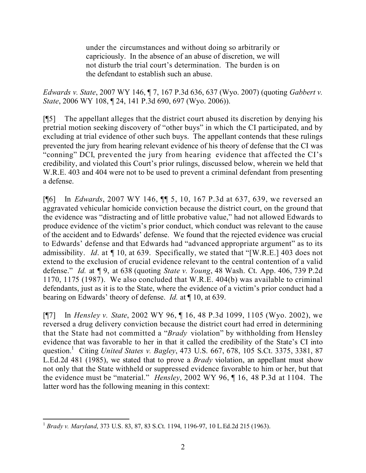under the circumstances and without doing so arbitrarily or capriciously. In the absence of an abuse of discretion, we will not disturb the trial court's determination. The burden is on the defendant to establish such an abuse.

*Edwards v. State*, 2007 WY 146, ¶ 7, 167 P.3d 636, 637 (Wyo. 2007) (quoting *Gabbert v. State*, 2006 WY 108, ¶ 24, 141 P.3d 690, 697 (Wyo. 2006)).

[¶5] The appellant alleges that the district court abused its discretion by denying his pretrial motion seeking discovery of "other buys" in which the CI participated, and by excluding at trial evidence of other such buys. The appellant contends that these rulings prevented the jury from hearing relevant evidence of his theory of defense that the CI was "conning" DCI, prevented the jury from hearing evidence that affected the CI's credibility, and violated this Court's prior rulings, discussed below, wherein we held that W.R.E. 403 and 404 were not to be used to prevent a criminal defendant from presenting a defense.

[¶6] In *Edwards*, 2007 WY 146, ¶¶ 5, 10, 167 P.3d at 637, 639, we reversed an aggravated vehicular homicide conviction because the district court, on the ground that the evidence was "distracting and of little probative value," had not allowed Edwards to produce evidence of the victim's prior conduct, which conduct was relevant to the cause of the accident and to Edwards' defense. We found that the rejected evidence was crucial to Edwards' defense and that Edwards had "advanced appropriate argument" as to its admissibility. *Id*. at ¶ 10, at 639. Specifically, we stated that "[W.R.E.] 403 does not extend to the exclusion of crucial evidence relevant to the central contention of a valid defense." *Id.* at ¶ 9, at 638 (quoting *State v. Young*, 48 Wash. Ct. App. 406, 739 P.2d 1170, 1175 (1987). We also concluded that W.R.E. 404(b) was available to criminal defendants, just as it is to the State, where the evidence of a victim's prior conduct had a bearing on Edwards' theory of defense. *Id.* at ¶ 10, at 639.

[¶7] In *Hensley v. State*, 2002 WY 96, ¶ 16, 48 P.3d 1099, 1105 (Wyo. 2002), we reversed a drug delivery conviction because the district court had erred in determining that the State had not committed a "*Brady* violation" by withholding from Hensley evidence that was favorable to her in that it called the credibility of the State's CI into question.<sup>1</sup> Citing *United States v. Bagley*, 473 U.S. 667, 678, 105 S.Ct. 3375, 3381, 87 L.Ed.2d 481 (1985), we stated that to prove a *Brady* violation, an appellant must show not only that the State withheld or suppressed evidence favorable to him or her, but that the evidence must be "material." *Hensley*, 2002 WY 96, ¶ 16, 48 P.3d at 1104. The latter word has the following meaning in this context:

 <sup>1</sup> *Brady v. Maryland*, 373 U.S. 83, 87, 83 S.Ct. 1194, 1196-97, 10 L.Ed.2d 215 (1963).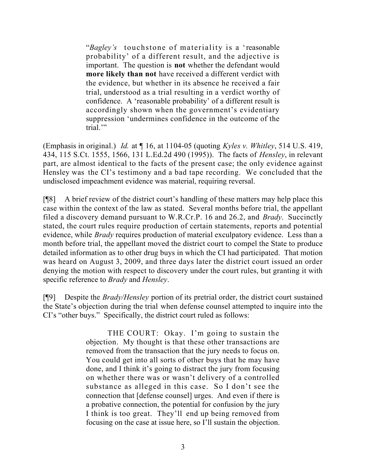"*Bagley's* touchstone of materiality is a 'reasonable probability' of a different result, and the adjective is important. The question is **not** whether the defendant would **more likely than not** have received a different verdict with the evidence, but whether in its absence he received a fair trial, understood as a trial resulting in a verdict worthy of confidence. A 'reasonable probability' of a different result is accordingly shown when the government's evidentiary suppression 'undermines confidence in the outcome of the trial."

(Emphasis in original.) *Id.* at ¶ 16, at 1104-05 (quoting *Kyles v. Whitley*, 514 U.S. 419, 434, 115 S.Ct. 1555, 1566, 131 L.Ed.2d 490 (1995)). The facts of *Hensley*, in relevant part, are almost identical to the facts of the present case; the only evidence against Hensley was the CI's testimony and a bad tape recording. We concluded that the undisclosed impeachment evidence was material, requiring reversal.

[¶8] A brief review of the district court's handling of these matters may help place this case within the context of the law as stated. Several months before trial, the appellant filed a discovery demand pursuant to W.R.Cr.P. 16 and 26.2, and *Brady*. Succinctly stated, the court rules require production of certain statements, reports and potential evidence, while *Brady* requires production of material exculpatory evidence. Less than a month before trial, the appellant moved the district court to compel the State to produce detailed information as to other drug buys in which the CI had participated. That motion was heard on August 3, 2009, and three days later the district court issued an order denying the motion with respect to discovery under the court rules, but granting it with specific reference to *Brady* and *Hensley*.

[¶9] Despite the *Brady/Hensley* portion of its pretrial order, the district court sustained the State's objection during the trial when defense counsel attempted to inquire into the CI's "other buys." Specifically, the district court ruled as follows:

> THE COURT: Okay. I'm going to sustain the objection. My thought is that these other transactions are removed from the transaction that the jury needs to focus on. You could get into all sorts of other buys that he may have done, and I think it's going to distract the jury from focusing on whether there was or wasn't delivery of a controlled substance as alleged in this case. So I don't see the connection that [defense counsel] urges. And even if there is a probative connection, the potential for confusion by the jury I think is too great. They'll end up being removed from focusing on the case at issue here, so I'll sustain the objection.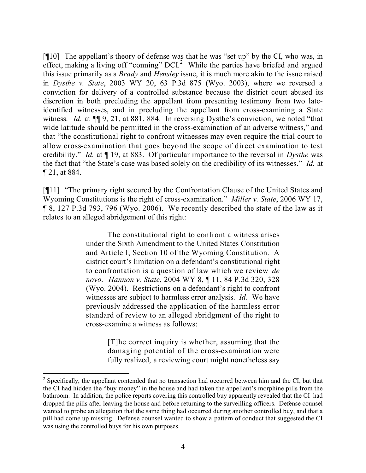[¶10] The appellant's theory of defense was that he was "set up" by the CI, who was, in effect, making a living off "conning" DCI.<sup>2</sup> While the parties have briefed and argued this issue primarily as a *Brady* and *Hensley* issue, it is much more akin to the issue raised in *Dysthe v. State*, 2003 WY 20, 63 P.3d 875 (Wyo. 2003), where we reversed a conviction for delivery of a controlled substance because the district court abused its discretion in both precluding the appellant from presenting testimony from two lateidentified witnesses, and in precluding the appellant from cross-examining a State witness. *Id.* at  $\P$ [9, 21, at 881, 884. In reversing Dysthe's conviction, we noted "that wide latitude should be permitted in the cross-examination of an adverse witness," and that "the constitutional right to confront witnesses may even require the trial court to allow cross-examination that goes beyond the scope of direct examination to test credibility." *Id.* at ¶ 19, at 883. Of particular importance to the reversal in *Dysthe* was the fact that "the State's case was based solely on the credibility of its witnesses." *Id.* at ¶ 21, at 884.

[¶11] "The primary right secured by the Confrontation Clause of the United States and Wyoming Constitutions is the right of cross-examination." *Miller v. State*, 2006 WY 17, ¶ 8, 127 P.3d 793, 796 (Wyo. 2006). We recently described the state of the law as it relates to an alleged abridgement of this right:

> The constitutional right to confront a witness arises under the Sixth Amendment to the United States Constitution and Article I, Section 10 of the Wyoming Constitution. A district court's limitation on a defendant's constitutional right to confrontation is a question of law which we review *de novo*. *Hannon v. State*, 2004 WY 8, ¶ 11, 84 P.3d 320, 328 (Wyo. 2004). Restrictions on a defendant's right to confront witnesses are subject to harmless error analysis. *Id*. We have previously addressed the application of the harmless error standard of review to an alleged abridgment of the right to cross-examine a witness as follows:

> > [T]he correct inquiry is whether, assuming that the damaging potential of the cross-examination were fully realized, a reviewing court might nonetheless say

 $2^2$  Specifically, the appellant contended that no transaction had occurred between him and the CI, but that the CI had hidden the "buy money" in the house and had taken the appellant's morphine pills from the bathroom. In addition, the police reports covering this controlled buy apparently revealed that the CI had dropped the pills after leaving the house and before returning to the surveilling officers. Defense counsel wanted to probe an allegation that the same thing had occurred during another controlled buy, and that a pill had come up missing. Defense counsel wanted to show a pattern of conduct that suggested the CI was using the controlled buys for his own purposes.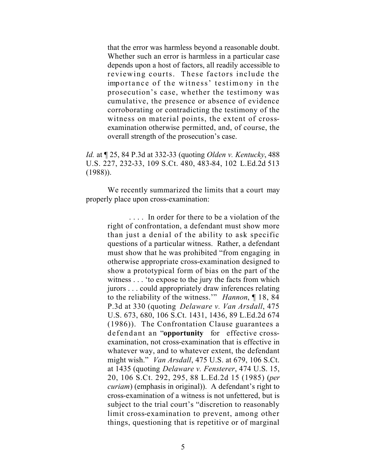that the error was harmless beyond a reasonable doubt. Whether such an error is harmless in a particular case depends upon a host of factors, all readily accessible to reviewing courts. These factors include the importance of the witness' testimony in the prosecution's case, whether the testimony was cumulative, the presence or absence of evidence corroborating or contradicting the testimony of the witness on material points, the extent of crossexamination otherwise permitted, and, of course, the overall strength of the prosecution's case.

*Id.* at ¶ 25, 84 P.3d at 332-33 (quoting *Olden v. Kentucky*, 488 U.S. 227, 232-33, 109 S.Ct. 480, 483-84, 102 L.Ed.2d 513 (1988)).

We recently summarized the limits that a court may properly place upon cross-examination:

> . . . . In order for there to be a violation of the right of confrontation, a defendant must show more than just a denial of the ability to ask specific questions of a particular witness. Rather, a defendant must show that he was prohibited "from engaging in otherwise appropriate cross-examination designed to show a prototypical form of bias on the part of the witness . . . 'to expose to the jury the facts from which jurors . . . could appropriately draw inferences relating to the reliability of the witness.'" *Hannon*, ¶ 18, 84 P.3d at 330 (quoting *Delaware v. Van Arsdall*, 475 U.S. 673, 680, 106 S.Ct. 1431, 1436, 89 L.Ed.2d 674 (1986)). The Confrontation Clause guarantees a defendant an "**opportunity** for effective crossexamination, not cross-examination that is effective in whatever way, and to whatever extent, the defendant might wish." *Van Arsdall*, 475 U.S. at 679, 106 S.Ct. at 1435 (quoting *Delaware v. Fensterer*, 474 U.S. 15, 20, 106 S.Ct. 292, 295, 88 L.Ed.2d 15 (1985) (*per curiam*) (emphasis in original)). A defendant's right to cross-examination of a witness is not unfettered, but is subject to the trial court's "discretion to reasonably limit cross-examination to prevent, among other things, questioning that is repetitive or of marginal